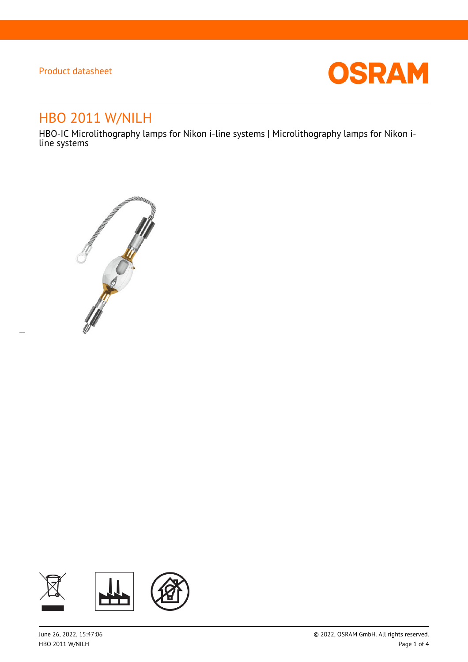$\overline{a}$ 



# HBO 2011 W/NILH

HBO-IC Microlithography lamps for Nikon i-line systems | Microlithography lamps for Nikon iline systems



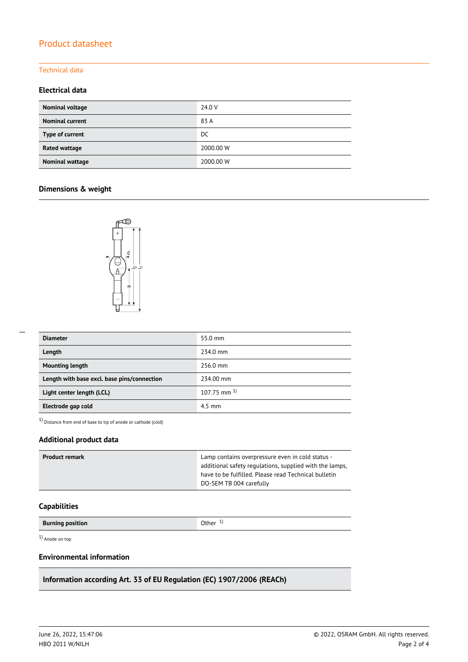#### Technical data

### **Electrical data**

| Nominal voltage        | 24.0 V    |
|------------------------|-----------|
| <b>Nominal current</b> | 83 A      |
| Type of current        | DC.       |
| Rated wattage          | 2000.00 W |
| Nominal wattage        | 2000.00 W |

### **Dimensions & weight**



| <b>Diameter</b>                             | 55.0 mm            |
|---------------------------------------------|--------------------|
| Length                                      | 234.0 mm           |
| <b>Mounting length</b>                      | 256.0 mm           |
| Length with base excl. base pins/connection | 234.00 mm          |
| Light center length (LCL)                   | $107.75$ mm $^{1}$ |
| Electrode gap cold                          | $4.5$ mm           |

1) Distance from end of base to tip of anode or cathode (cold)

### **Additional product data**

| <b>Product remark</b> | Lamp contains overpressure even in cold status -        |
|-----------------------|---------------------------------------------------------|
|                       | additional safety regulations, supplied with the lamps, |
|                       | have to be fulfilled. Please read Technical bulletin    |
|                       | DO-SEM TB 004 carefully                                 |

#### **Capabilities**

**Burning position Burning position C Burning in the U Other** 1<sup>)</sup>

1) Anode on top

## **Environmental information**

## **Information according Art. 33 of EU Regulation (EC) 1907/2006 (REACh)**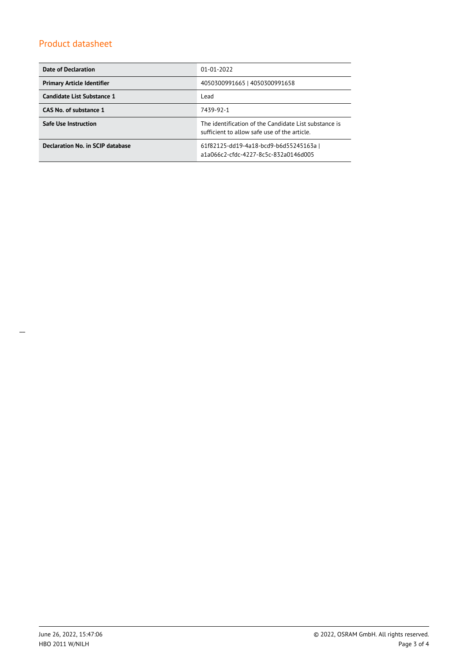| <b>Date of Declaration</b>        | $01 - 01 - 2022$                                                                                      |  |  |
|-----------------------------------|-------------------------------------------------------------------------------------------------------|--|--|
| <b>Primary Article Identifier</b> | 4050300991665   4050300991658                                                                         |  |  |
| Candidate List Substance 1        | Lead                                                                                                  |  |  |
| CAS No. of substance 1            | 7439-92-1                                                                                             |  |  |
| <b>Safe Use Instruction</b>       | The identification of the Candidate List substance is<br>sufficient to allow safe use of the article. |  |  |
| Declaration No. in SCIP database  | 61f82125-dd19-4a18-bcd9-b6d55245163a  <br>a1a066c2-cfdc-4227-8c5c-832a0146d005                        |  |  |

 $\overline{\phantom{a}}$